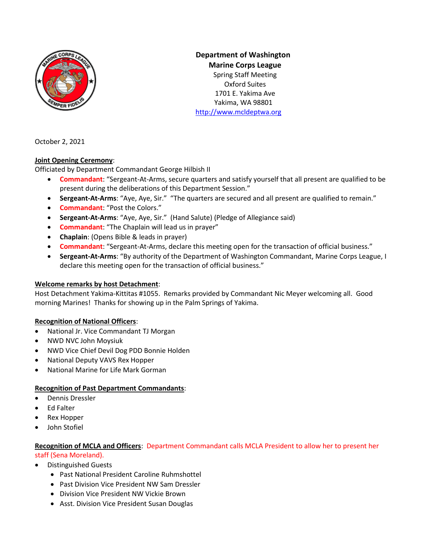

**Department of Washington Marine Corps League** Spring Staff Meeting Oxford Suites 1701 E. Yakima Ave Yakima, WA 98801 [http://www.mcldeptwa.org](http://www.mcldeptwa.org/)

October 2, 2021

### **Joint Opening Ceremony**:

Officiated by Department Commandant George Hilbish II

- **Commandant**: "Sergeant-At-Arms, secure quarters and satisfy yourself that all present are qualified to be present during the deliberations of this Department Session."
- **Sergeant-At-Arms**: "Aye, Aye, Sir." "The quarters are secured and all present are qualified to remain."
- **Commandant**: "Post the Colors."
- **Sergeant-At-Arms**: "Aye, Aye, Sir." (Hand Salute) (Pledge of Allegiance said)
- **Commandant**: "The Chaplain will lead us in prayer"
- **Chaplain**: (Opens Bible & leads in prayer)
- **Commandant**: "Sergeant-At-Arms, declare this meeting open for the transaction of official business."
- **Sergeant-At-Arms**: "By authority of the Department of Washington Commandant, Marine Corps League, I declare this meeting open for the transaction of official business."

### **Welcome remarks by host Detachment**:

Host Detachment Yakima-Kittitas #1055. Remarks provided by Commandant Nic Meyer welcoming all. Good morning Marines! Thanks for showing up in the Palm Springs of Yakima.

### **Recognition of National Officers**:

- National Jr. Vice Commandant TJ Morgan
- NWD NVC John Moysiuk
- NWD Vice Chief Devil Dog PDD Bonnie Holden
- National Deputy VAVS Rex Hopper
- National Marine for Life Mark Gorman

### **Recognition of Past Department Commandants**:

- Dennis Dressler
- Ed Falter
- Rex Hopper
- John Stofiel

#### **Recognition of MCLA and Officers**: Department Commandant calls MCLA President to allow her to present her staff (Sena Moreland).

- Distinguished Guests
	- Past National President Caroline Ruhmshottel
	- Past Division Vice President NW Sam Dressler
	- Division Vice President NW Vickie Brown
	- Asst. Division Vice President Susan Douglas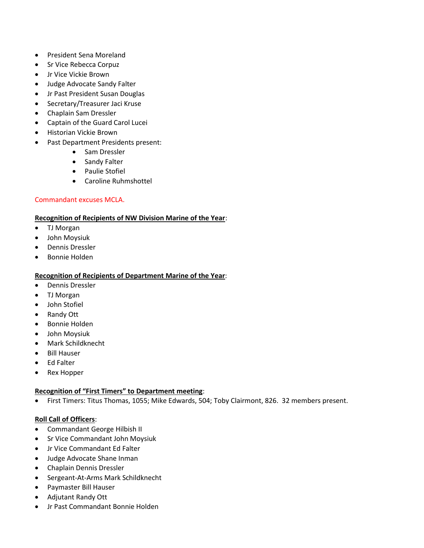- President Sena Moreland
- Sr Vice Rebecca Corpuz
- Jr Vice Vickie Brown
- Judge Advocate Sandy Falter
- Jr Past President Susan Douglas
- Secretary/Treasurer Jaci Kruse
- Chaplain Sam Dressler
- Captain of the Guard Carol Lucei
- Historian Vickie Brown
- Past Department Presidents present:
	- Sam Dressler
	- Sandy Falter
	- Paulie Stofiel
	- Caroline Ruhmshottel

### Commandant excuses MCLA.

#### **Recognition of Recipients of NW Division Marine of the Year**:

- TJ Morgan
- John Moysiuk
- Dennis Dressler
- Bonnie Holden

#### **Recognition of Recipients of Department Marine of the Year**:

- Dennis Dressler
- TJ Morgan
- John Stofiel
- Randy Ott
- Bonnie Holden
- John Moysiuk
- Mark Schildknecht
- Bill Hauser
- Ed Falter
- Rex Hopper

#### **Recognition of "First Timers" to Department meeting**:

• First Timers: Titus Thomas, 1055; Mike Edwards, 504; Toby Clairmont, 826. 32 members present.

#### **Roll Call of Officers**:

- Commandant George Hilbish II
- Sr Vice Commandant John Moysiuk
- Jr Vice Commandant Ed Falter
- Judge Advocate Shane Inman
- Chaplain Dennis Dressler
- Sergeant-At-Arms Mark Schildknecht
- Paymaster Bill Hauser
- Adjutant Randy Ott
- Jr Past Commandant Bonnie Holden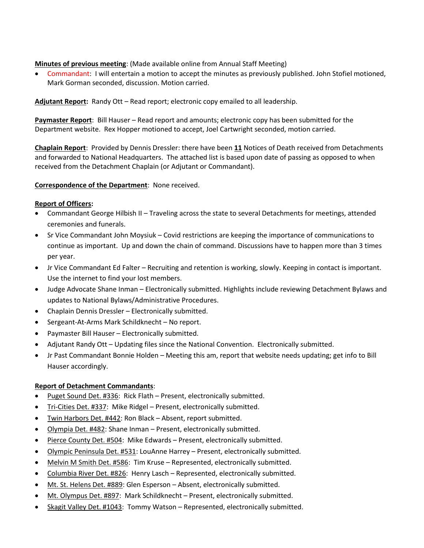#### **Minutes of previous meeting**: (Made available online from Annual Staff Meeting)

• Commandant: I will entertain a motion to accept the minutes as previously published. John Stofiel motioned, Mark Gorman seconded, discussion. Motion carried.

**Adjutant Report:** Randy Ott – Read report; electronic copy emailed to all leadership.

**Paymaster Report**: Bill Hauser – Read report and amounts; electronic copy has been submitted for the Department website. Rex Hopper motioned to accept, Joel Cartwright seconded, motion carried.

**Chaplain Report**: Provided by Dennis Dressler: there have been **11** Notices of Death received from Detachments and forwarded to National Headquarters. The attached list is based upon date of passing as opposed to when received from the Detachment Chaplain (or Adjutant or Commandant).

#### **Correspondence of the Department**: None received.

#### **Report of Officers:**

- Commandant George Hilbish II Traveling across the state to several Detachments for meetings, attended ceremonies and funerals.
- Sr Vice Commandant John Moysiuk Covid restrictions are keeping the importance of communications to continue as important. Up and down the chain of command. Discussions have to happen more than 3 times per year.
- Jr Vice Commandant Ed Falter Recruiting and retention is working, slowly. Keeping in contact is important. Use the internet to find your lost members.
- Judge Advocate Shane Inman Electronically submitted. Highlights include reviewing Detachment Bylaws and updates to National Bylaws/Administrative Procedures.
- Chaplain Dennis Dressler Electronically submitted.
- Sergeant-At-Arms Mark Schildknecht No report.
- Paymaster Bill Hauser Electronically submitted.
- Adjutant Randy Ott Updating files since the National Convention. Electronically submitted.
- Jr Past Commandant Bonnie Holden Meeting this am, report that website needs updating; get info to Bill Hauser accordingly.

### **Report of Detachment Commandants**:

- Puget Sound Det. #336: Rick Flath Present, electronically submitted.
- Tri-Cities Det. #337: Mike Ridgel Present, electronically submitted.
- Twin Harbors Det. #442: Ron Black Absent, report submitted.
- Olympia Det. #482: Shane Inman Present, electronically submitted.
- Pierce County Det. #504: Mike Edwards Present, electronically submitted.
- Olympic Peninsula Det. #531: LouAnne Harrey Present, electronically submitted.
- Melvin M Smith Det. #586: Tim Kruse Represented, electronically submitted.
- Columbia River Det. #826: Henry Lasch Represented, electronically submitted.
- Mt. St. Helens Det. #889: Glen Esperson Absent, electronically submitted.
- Mt. Olympus Det. #897: Mark Schildknecht Present, electronically submitted.
- Skagit Valley Det. #1043: Tommy Watson Represented, electronically submitted.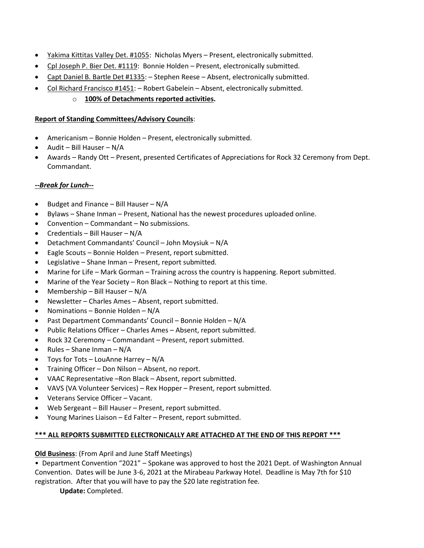- Yakima Kittitas Valley Det. #1055: Nicholas Myers Present, electronically submitted.
- Cpl Joseph P. Bier Det. #1119: Bonnie Holden Present, electronically submitted.
- Capt Daniel B. Bartle Det #1335: Stephen Reese Absent, electronically submitted.
- Col Richard Francisco #1451: Robert Gabelein Absent, electronically submitted.

### o **100% of Detachments reported activities.**

#### **Report of Standing Committees/Advisory Councils**:

- Americanism Bonnie Holden Present, electronically submitted.
- Audit Bill Hauser N/A
- Awards Randy Ott Present, presented Certificates of Appreciations for Rock 32 Ceremony from Dept. Commandant.

### *--Break for Lunch--*

- Budget and Finance Bill Hauser N/A
- Bylaws Shane Inman Present, National has the newest procedures uploaded online.
- Convention Commandant No submissions.
- Credentials Bill Hauser  $N/A$
- Detachment Commandants' Council John Moysiuk N/A
- Eagle Scouts Bonnie Holden Present, report submitted.
- Legislative Shane Inman Present, report submitted.
- Marine for Life Mark Gorman Training across the country is happening. Report submitted.
- Marine of the Year Society Ron Black Nothing to report at this time.
- Membership Bill Hauser N/A
- Newsletter Charles Ames Absent, report submitted.
- Nominations Bonnie Holden N/A
- Past Department Commandants' Council Bonnie Holden N/A
- Public Relations Officer Charles Ames Absent, report submitted.
- Rock 32 Ceremony Commandant Present, report submitted.
- Rules Shane Inman N/A
- Toys for Tots LouAnne Harrey N/A
- Training Officer Don Nilson Absent, no report.
- VAAC Representative –Ron Black Absent, report submitted.
- VAVS (VA Volunteer Services) Rex Hopper Present, report submitted.
- Veterans Service Officer Vacant.
- Web Sergeant Bill Hauser Present, report submitted.
- Young Marines Liaison Ed Falter Present, report submitted.

# **\*\*\* ALL REPORTS SUBMITTED ELECTRONICALLY ARE ATTACHED AT THE END OF THIS REPORT \*\*\***

# **Old Business**: (From April and June Staff Meetings)

• Department Convention "2021" – Spokane was approved to host the 2021 Dept. of Washington Annual Convention. Dates will be June 3-6, 2021 at the Mirabeau Parkway Hotel. Deadline is May 7th for \$10 registration. After that you will have to pay the \$20 late registration fee.

**Update:** Completed.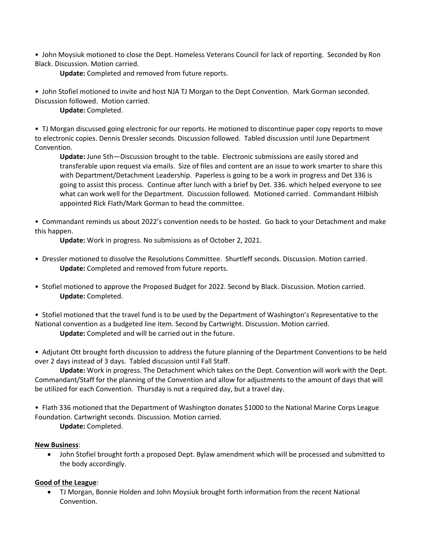• John Moysiuk motioned to close the Dept. Homeless Veterans Council for lack of reporting. Seconded by Ron Black. Discussion. Motion carried.

**Update:** Completed and removed from future reports.

• John Stofiel motioned to invite and host NJA TJ Morgan to the Dept Convention. Mark Gorman seconded. Discussion followed. Motion carried.

**Update:** Completed.

• TJ Morgan discussed going electronic for our reports. He motioned to discontinue paper copy reports to move to electronic copies. Dennis Dressler seconds. Discussion followed. Tabled discussion until June Department Convention.

**Update:** June 5th—Discussion brought to the table. Electronic submissions are easily stored and transferable upon request via emails. Size of files and content are an issue to work smarter to share this with Department/Detachment Leadership. Paperless is going to be a work in progress and Det 336 is going to assist this process. Continue after lunch with a brief by Det. 336. which helped everyone to see what can work well for the Department. Discussion followed. Motioned carried. Commandant Hilbish appointed Rick Flath/Mark Gorman to head the committee.

• Commandant reminds us about 2022's convention needs to be hosted. Go back to your Detachment and make this happen.

**Update:** Work in progress. No submissions as of October 2, 2021.

- Dressler motioned to dissolve the Resolutions Committee. Shurtleff seconds. Discussion. Motion carried. **Update:** Completed and removed from future reports.
- Stofiel motioned to approve the Proposed Budget for 2022. Second by Black. Discussion. Motion carried. **Update:** Completed.

• Stofiel motioned that the travel fund is to be used by the Department of Washington's Representative to the National convention as a budgeted line item. Second by Cartwright. Discussion. Motion carried.

**Update:** Completed and will be carried out in the future.

• Adjutant Ott brought forth discussion to address the future planning of the Department Conventions to be held over 2 days instead of 3 days. Tabled discussion until Fall Staff.

**Update:** Work in progress. The Detachment which takes on the Dept. Convention will work with the Dept. Commandant/Staff for the planning of the Convention and allow for adjustments to the amount of days that will be utilized for each Convention. Thursday is not a required day, but a travel day.

• Flath 336 motioned that the Department of Washington donates \$1000 to the National Marine Corps League Foundation. Cartwright seconds. Discussion. Motion carried.

**Update:** Completed.

#### **New Business**:

• John Stofiel brought forth a proposed Dept. Bylaw amendment which will be processed and submitted to the body accordingly.

### **Good of the League**:

• TJ Morgan, Bonnie Holden and John Moysiuk brought forth information from the recent National Convention.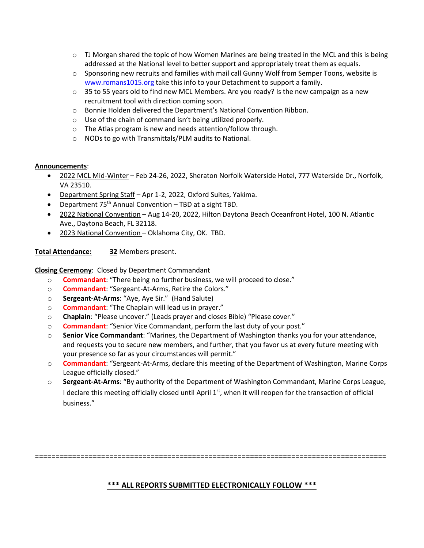- $\circ$  TJ Morgan shared the topic of how Women Marines are being treated in the MCL and this is being addressed at the National level to better support and appropriately treat them as equals.
- $\circ$  Sponsoring new recruits and families with mail call Gunny Wolf from Semper Toons, website is [www.romans1015.org](http://www.romans1015.org/) take this info to your Detachment to support a family.
- $\circ$  35 to 55 years old to find new MCL Members. Are you ready? Is the new campaign as a new recruitment tool with direction coming soon.
- o Bonnie Holden delivered the Department's National Convention Ribbon.
- o Use of the chain of command isn't being utilized properly.
- o The Atlas program is new and needs attention/follow through.
- o NODs to go with Transmittals/PLM audits to National.

#### **Announcements**:

- 2022 MCL Mid-Winter Feb 24-26, 2022, Sheraton Norfolk Waterside Hotel, 777 Waterside Dr., Norfolk, VA 23510.
- Department Spring Staff Apr 1-2, 2022, Oxford Suites, Yakima.
- Department 75<sup>th</sup> Annual Convention TBD at a sight TBD.
- 2022 National Convention Aug 14-20, 2022, Hilton Daytona Beach Oceanfront Hotel, 100 N. Atlantic Ave., Daytona Beach, FL 32118.
- 2023 National Convention Oklahoma City, OK. TBD.

**Total Attendance: 32** Members present.

**Closing Ceremony**: Closed by Department Commandant

- o **Commandant**: "There being no further business, we will proceed to close."
- o **Commandant**: "Sergeant-At-Arms, Retire the Colors."
- o **Sergeant-At-Arms**: "Aye, Aye Sir." (Hand Salute)
- o **Commandant**: "The Chaplain will lead us in prayer."
- o **Chaplain**: "Please uncover." (Leads prayer and closes Bible) "Please cover."
- o **Commandant**: "Senior Vice Commandant, perform the last duty of your post."
- o **Senior Vice Commandant**: "Marines, the Department of Washington thanks you for your attendance, and requests you to secure new members, and further, that you favor us at every future meeting with your presence so far as your circumstances will permit."
- o **Commandant**: "Sergeant-At-Arms, declare this meeting of the Department of Washington, Marine Corps League officially closed."
- o **Sergeant-At-Arms**: "By authority of the Department of Washington Commandant, Marine Corps League, I declare this meeting officially closed until April 1<sup>st</sup>, when it will reopen for the transaction of official business."

=====================================================================================

## **\*\*\* ALL REPORTS SUBMITTED ELECTRONICALLY FOLLOW \*\*\***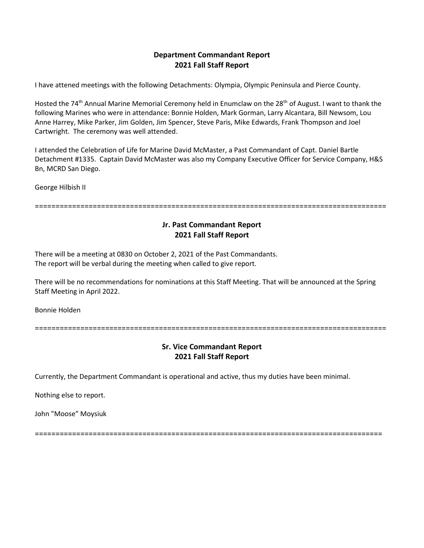### **Department Commandant Report 2021 Fall Staff Report**

I have attened meetings with the following Detachments: Olympia, Olympic Peninsula and Pierce County.

Hosted the 74<sup>th</sup> Annual Marine Memorial Ceremony held in Enumclaw on the 28<sup>th</sup> of August. I want to thank the following Marines who were in attendance: Bonnie Holden, Mark Gorman, Larry Alcantara, Bill Newsom, Lou Anne Harrey, Mike Parker, Jim Golden, Jim Spencer, Steve Paris, Mike Edwards, Frank Thompson and Joel Cartwright. The ceremony was well attended.

I attended the Celebration of Life for Marine David McMaster, a Past Commandant of Capt. Daniel Bartle Detachment #1335. Captain David McMaster was also my Company Executive Officer for Service Company, H&S Bn, MCRD San Diego.

George Hilbish II

=====================================================================================

### **Jr. Past Commandant Report 2021 Fall Staff Report**

There will be a meeting at 0830 on October 2, 2021 of the Past Commandants. The report will be verbal during the meeting when called to give report.

There will be no recommendations for nominations at this Staff Meeting. That will be announced at the Spring Staff Meeting in April 2022.

Bonnie Holden

=====================================================================================

### **Sr. Vice Commandant Report 2021 Fall Staff Report**

Currently, the Department Commandant is operational and active, thus my duties have been minimal.

Nothing else to report.

John "Moose" Moysiuk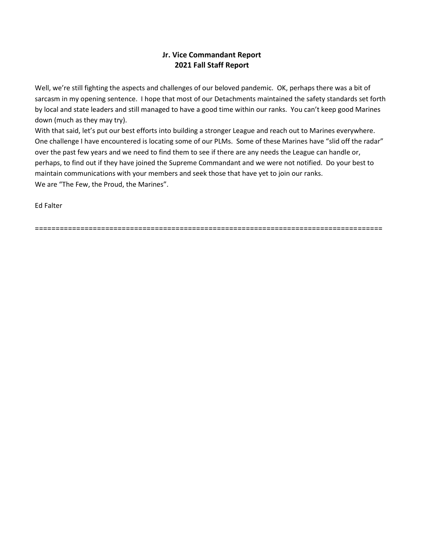## **Jr. Vice Commandant Report 2021 Fall Staff Report**

Well, we're still fighting the aspects and challenges of our beloved pandemic. OK, perhaps there was a bit of sarcasm in my opening sentence. I hope that most of our Detachments maintained the safety standards set forth by local and state leaders and still managed to have a good time within our ranks. You can't keep good Marines down (much as they may try).

With that said, let's put our best efforts into building a stronger League and reach out to Marines everywhere. One challenge I have encountered is locating some of our PLMs. Some of these Marines have "slid off the radar" over the past few years and we need to find them to see if there are any needs the League can handle or, perhaps, to find out if they have joined the Supreme Commandant and we were not notified. Do your best to maintain communications with your members and seek those that have yet to join our ranks. We are "The Few, the Proud, the Marines".

Ed Falter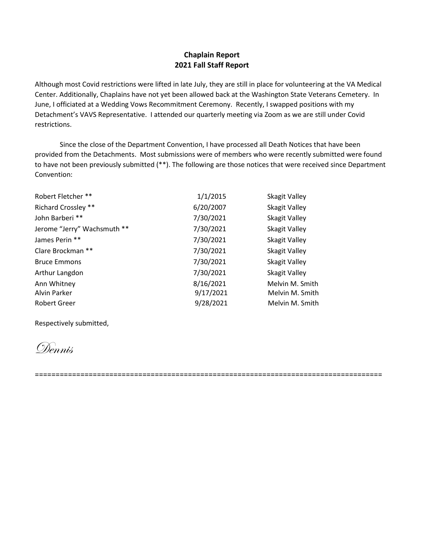### **Chaplain Report 2021 Fall Staff Report**

Although most Covid restrictions were lifted in late July, they are still in place for volunteering at the VA Medical Center. Additionally, Chaplains have not yet been allowed back at the Washington State Veterans Cemetery. In June, I officiated at a Wedding Vows Recommitment Ceremony. Recently, I swapped positions with my Detachment's VAVS Representative. I attended our quarterly meeting via Zoom as we are still under Covid restrictions.

Since the close of the Department Convention, I have processed all Death Notices that have been provided from the Detachments. Most submissions were of members who were recently submitted were found to have not been previously submitted (\*\*). The following are those notices that were received since Department Convention:

| 1/1/2015  | Skagit Valley   |
|-----------|-----------------|
| 6/20/2007 | Skagit Valley   |
| 7/30/2021 | Skagit Valley   |
| 7/30/2021 | Skagit Valley   |
| 7/30/2021 | Skagit Valley   |
| 7/30/2021 | Skagit Valley   |
| 7/30/2021 | Skagit Valley   |
| 7/30/2021 | Skagit Valley   |
| 8/16/2021 | Melvin M. Smith |
| 9/17/2021 | Melvin M. Smith |
| 9/28/2021 | Melvin M. Smith |
|           |                 |

Respectively submitted,

Dennis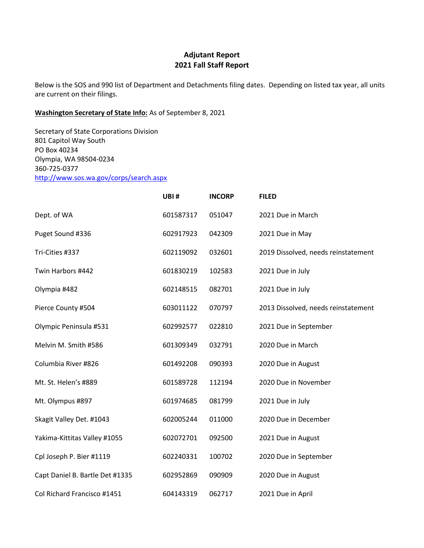## **Adjutant Report 2021 Fall Staff Report**

Below is the SOS and 990 list of Department and Detachments filing dates. Depending on listed tax year, all units are current on their filings.

## **Washington Secretary of State Info:** As of September 8, 2021

Secretary of State Corporations Division 801 Capitol Way South PO Box 40234 Olympia, WA 98504-0234 360-725-0377 <http://www.sos.wa.gov/corps/search.aspx>

|                                 | UBI#      | <b>INCORP</b> | <b>FILED</b>                        |
|---------------------------------|-----------|---------------|-------------------------------------|
| Dept. of WA                     | 601587317 | 051047        | 2021 Due in March                   |
| Puget Sound #336                | 602917923 | 042309        | 2021 Due in May                     |
| Tri-Cities #337                 | 602119092 | 032601        | 2019 Dissolved, needs reinstatement |
| Twin Harbors #442               | 601830219 | 102583        | 2021 Due in July                    |
| Olympia #482                    | 602148515 | 082701        | 2021 Due in July                    |
| Pierce County #504              | 603011122 | 070797        | 2013 Dissolved, needs reinstatement |
| Olympic Peninsula #531          | 602992577 | 022810        | 2021 Due in September               |
| Melvin M. Smith #586            | 601309349 | 032791        | 2020 Due in March                   |
| Columbia River #826             | 601492208 | 090393        | 2020 Due in August                  |
| Mt. St. Helen's #889            | 601589728 | 112194        | 2020 Due in November                |
| Mt. Olympus #897                | 601974685 | 081799        | 2021 Due in July                    |
| Skagit Valley Det. #1043        | 602005244 | 011000        | 2020 Due in December                |
| Yakima-Kittitas Valley #1055    | 602072701 | 092500        | 2021 Due in August                  |
| Cpl Joseph P. Bier #1119        | 602240331 | 100702        | 2020 Due in September               |
| Capt Daniel B. Bartle Det #1335 | 602952869 | 090909        | 2020 Due in August                  |
| Col Richard Francisco #1451     | 604143319 | 062717        | 2021 Due in April                   |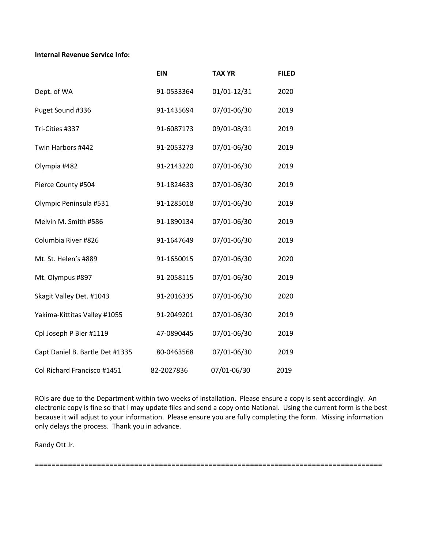**Internal Revenue Service Info:**

|                                 | <b>EIN</b> | <b>TAX YR</b> | <b>FILED</b> |
|---------------------------------|------------|---------------|--------------|
| Dept. of WA                     | 91-0533364 | 01/01-12/31   | 2020         |
| Puget Sound #336                | 91-1435694 | 07/01-06/30   | 2019         |
| Tri-Cities #337                 | 91-6087173 | 09/01-08/31   | 2019         |
| Twin Harbors #442               | 91-2053273 | 07/01-06/30   | 2019         |
| Olympia #482                    | 91-2143220 | 07/01-06/30   | 2019         |
| Pierce County #504              | 91-1824633 | 07/01-06/30   | 2019         |
| Olympic Peninsula #531          | 91-1285018 | 07/01-06/30   | 2019         |
| Melvin M. Smith #586            | 91-1890134 | 07/01-06/30   | 2019         |
| Columbia River #826             | 91-1647649 | 07/01-06/30   | 2019         |
| Mt. St. Helen's #889            | 91-1650015 | 07/01-06/30   | 2020         |
| Mt. Olympus #897                | 91-2058115 | 07/01-06/30   | 2019         |
| Skagit Valley Det. #1043        | 91-2016335 | 07/01-06/30   | 2020         |
| Yakima-Kittitas Valley #1055    | 91-2049201 | 07/01-06/30   | 2019         |
| Cpl Joseph P Bier #1119         | 47-0890445 | 07/01-06/30   | 2019         |
| Capt Daniel B. Bartle Det #1335 | 80-0463568 | 07/01-06/30   | 2019         |
| Col Richard Francisco #1451     | 82-2027836 | 07/01-06/30   | 2019         |

ROIs are due to the Department within two weeks of installation. Please ensure a copy is sent accordingly. An electronic copy is fine so that I may update files and send a copy onto National. Using the current form is the best because it will adjust to your information. Please ensure you are fully completing the form. Missing information only delays the process. Thank you in advance.

Randy Ott Jr.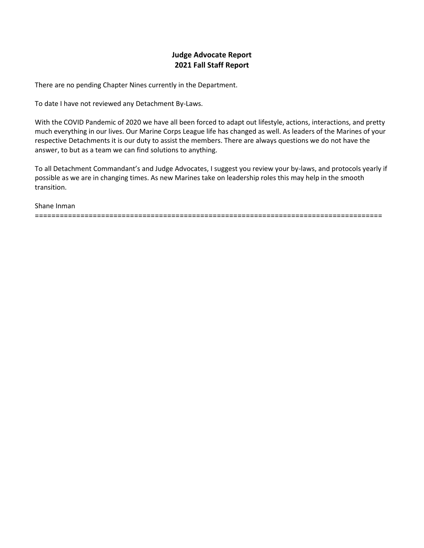## **Judge Advocate Report 2021 Fall Staff Report**

There are no pending Chapter Nines currently in the Department.

To date I have not reviewed any Detachment By-Laws.

With the COVID Pandemic of 2020 we have all been forced to adapt out lifestyle, actions, interactions, and pretty much everything in our lives. Our Marine Corps League life has changed as well. As leaders of the Marines of your respective Detachments it is our duty to assist the members. There are always questions we do not have the answer, to but as a team we can find solutions to anything.

To all Detachment Commandant's and Judge Advocates, I suggest you review your by-laws, and protocols yearly if possible as we are in changing times. As new Marines take on leadership roles this may help in the smooth transition.

#### Shane Inman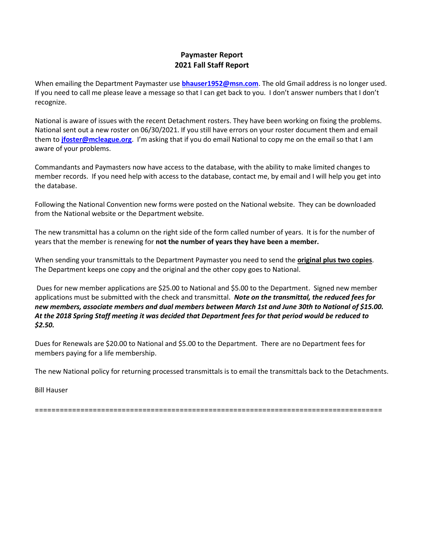### **Paymaster Report 2021 Fall Staff Report**

When emailing the Department Paymaster use **[bhauser1952@msn.com](file:///C:/Users/Bill/Desktop/bhauser1952@msn.com)**. The old Gmail address is no longer used. If you need to call me please leave a message so that I can get back to you. I don't answer numbers that I don't recognize.

National is aware of issues with the recent Detachment rosters. They have been working on fixing the problems. National sent out a new roster on 06/30/2021. If you still have errors on your roster document them and email them to **[jfoster@mcleague.org](mailto:jfoster@mcleague.org)**. I'm asking that if you do email National to copy me on the email so that I am aware of your problems.

Commandants and Paymasters now have access to the database, with the ability to make limited changes to member records. If you need help with access to the database, contact me, by email and I will help you get into the database.

Following the National Convention new forms were posted on the National website. They can be downloaded from the National website or the Department website.

The new transmittal has a column on the right side of the form called number of years. It is for the number of years that the member is renewing for **not the number of years they have been a member.** 

When sending your transmittals to the Department Paymaster you need to send the **original plus two copies**. The Department keeps one copy and the original and the other copy goes to National.

Dues for new member applications are \$25.00 to National and \$5.00 to the Department. Signed new member applications must be submitted with the check and transmittal. *Note on the transmittal, the reduced fees for new members, associate members and dual members between March 1st and June 30th to National of \$15.00. At the 2018 Spring Staff meeting it was decided that Department fees for that period would be reduced to \$2.50.*

Dues for Renewals are \$20.00 to National and \$5.00 to the Department. There are no Department fees for members paying for a life membership.

The new National policy for returning processed transmittals is to email the transmittals back to the Detachments.

Bill Hauser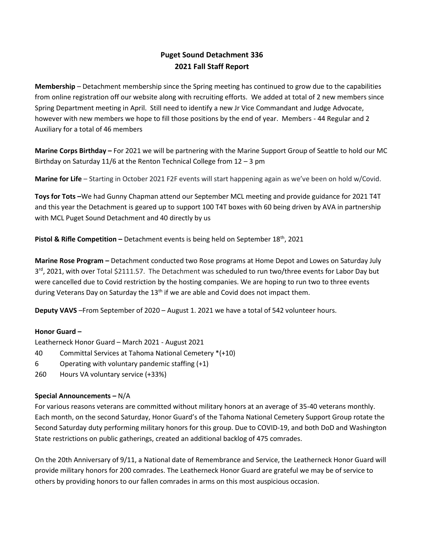# **Puget Sound Detachment 336 2021 Fall Staff Report**

**Membership** – Detachment membership since the Spring meeting has continued to grow due to the capabilities from online registration off our website along with recruiting efforts. We added at total of 2 new members since Spring Department meeting in April. Still need to identify a new Jr Vice Commandant and Judge Advocate, however with new members we hope to fill those positions by the end of year. Members - 44 Regular and 2 Auxiliary for a total of 46 members

**Marine Corps Birthday –** For 2021 we will be partnering with the Marine Support Group of Seattle to hold our MC Birthday on Saturday 11/6 at the Renton Technical College from 12 – 3 pm

**Marine for Life** – Starting in October 2021 F2F events will start happening again as we've been on hold w/Covid.

**Toys for Tots –**We had Gunny Chapman attend our September MCL meeting and provide guidance for 2021 T4T and this year the Detachment is geared up to support 100 T4T boxes with 60 being driven by AVA in partnership with MCL Puget Sound Detachment and 40 directly by us

**Pistol & Rifle Competition –** Detachment events is being held on September 18<sup>th</sup>, 2021

**Marine Rose Program –** Detachment conducted two Rose programs at Home Depot and Lowes on Saturday July 3<sup>rd</sup>, 2021, with over Total \$2111.57. The Detachment was scheduled to run two/three events for Labor Day but were cancelled due to Covid restriction by the hosting companies. We are hoping to run two to three events during Veterans Day on Saturday the 13<sup>th</sup> if we are able and Covid does not impact them.

**Deputy VAVS** –From September of 2020 – August 1. 2021 we have a total of 542 volunteer hours.

#### **Honor Guard –**

Leatherneck Honor Guard – March 2021 - August 2021

- 40 Committal Services at Tahoma National Cemetery \*(+10)
- 6 Operating with voluntary pandemic staffing (+1)
- 260 Hours VA voluntary service (+33%)

#### **Special Announcements –** N/A

For various reasons veterans are committed without military honors at an average of 35-40 veterans monthly. Each month, on the second Saturday, Honor Guard's of the Tahoma National Cemetery Support Group rotate the Second Saturday duty performing military honors for this group. Due to COVID-19, and both DoD and Washington State restrictions on public gatherings, created an additional backlog of 475 comrades.

On the 20th Anniversary of 9/11, a National date of Remembrance and Service, the Leatherneck Honor Guard will provide military honors for 200 comrades. The Leatherneck Honor Guard are grateful we may be of service to others by providing honors to our fallen comrades in arms on this most auspicious occasion.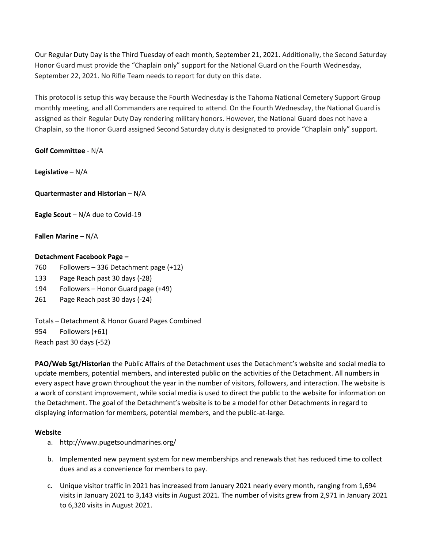Our Regular Duty Day is the Third Tuesday of each month, September 21, 2021. Additionally, the Second Saturday Honor Guard must provide the "Chaplain only" support for the National Guard on the Fourth Wednesday, September 22, 2021. No Rifle Team needs to report for duty on this date.

This protocol is setup this way because the Fourth Wednesday is the Tahoma National Cemetery Support Group monthly meeting, and all Commanders are required to attend. On the Fourth Wednesday, the National Guard is assigned as their Regular Duty Day rendering military honors. However, the National Guard does not have a Chaplain, so the Honor Guard assigned Second Saturday duty is designated to provide "Chaplain only" support.

**Golf Committee** - N/A

**Legislative –** N/A

**Quartermaster and Historian** – N/A

**Eagle Scout** – N/A due to Covid-19

**Fallen Marine** – N/A

#### **Detachment Facebook Page –**

- 760 Followers 336 Detachment page (+12)
- 133 Page Reach past 30 days (-28)
- 194 Followers Honor Guard page (+49)
- 261 Page Reach past 30 days (-24)

Totals – Detachment & Honor Guard Pages Combined 954 Followers (+61) Reach past 30 days (-52)

**PAO/Web Sgt/Historian** the Public Affairs of the Detachment uses the Detachment's website and social media to update members, potential members, and interested public on the activities of the Detachment. All numbers in every aspect have grown throughout the year in the number of visitors, followers, and interaction. The website is a work of constant improvement, while social media is used to direct the public to the website for information on the Detachment. The goal of the Detachment's website is to be a model for other Detachments in regard to displaying information for members, potential members, and the public-at-large.

#### **Website**

- a. http://www.pugetsoundmarines.org/
- b. Implemented new payment system for new memberships and renewals that has reduced time to collect dues and as a convenience for members to pay.
- c. Unique visitor traffic in 2021 has increased from January 2021 nearly every month, ranging from 1,694 visits in January 2021 to 3,143 visits in August 2021. The number of visits grew from 2,971 in January 2021 to 6,320 visits in August 2021.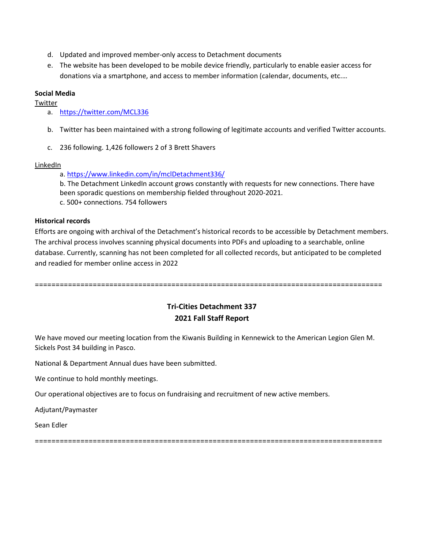- d. Updated and improved member-only access to Detachment documents
- e. The website has been developed to be mobile device friendly, particularly to enable easier access for donations via a smartphone, and access to member information (calendar, documents, etc.…

#### **Social Media**

Twitter

- a. <https://twitter.com/MCL336>
- b. Twitter has been maintained with a strong following of legitimate accounts and verified Twitter accounts.
- c. 236 following. 1,426 followers 2 of 3 Brett Shavers

#### LinkedIn

a. [https://www.linkedin.com/in/mclDetachment336/](https://www.linkedin.com/in/mcldetachment336/)

b. The Detachment LinkedIn account grows constantly with requests for new connections. There have been sporadic questions on membership fielded throughout 2020-2021. c. 500+ connections. 754 followers

#### **Historical records**

Efforts are ongoing with archival of the Detachment's historical records to be accessible by Detachment members. The archival process involves scanning physical documents into PDFs and uploading to a searchable, online database. Currently, scanning has not been completed for all collected records, but anticipated to be completed and readied for member online access in 2022

====================================================================================

## **Tri-Cities Detachment 337 2021 Fall Staff Report**

We have moved our meeting location from the Kiwanis Building in Kennewick to the American Legion Glen M. Sickels Post 34 building in Pasco.

National & Department Annual dues have been submitted.

We continue to hold monthly meetings.

Our operational objectives are to focus on fundraising and recruitment of new active members.

Adjutant/Paymaster

Sean Edler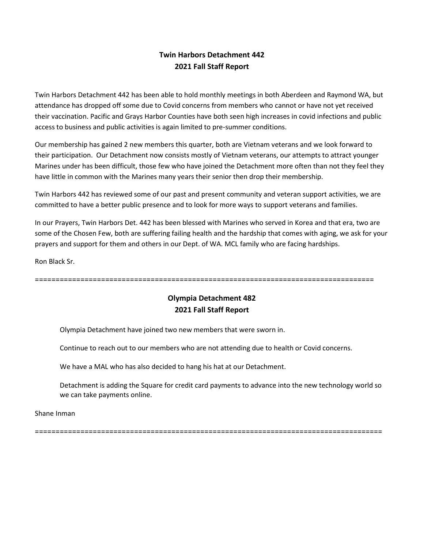# **Twin Harbors Detachment 442 2021 Fall Staff Report**

Twin Harbors Detachment 442 has been able to hold monthly meetings in both Aberdeen and Raymond WA, but attendance has dropped off some due to Covid concerns from members who cannot or have not yet received their vaccination. Pacific and Grays Harbor Counties have both seen high increases in covid infections and public access to business and public activities is again limited to pre-summer conditions.

Our membership has gained 2 new members this quarter, both are Vietnam veterans and we look forward to their participation. Our Detachment now consists mostly of Vietnam veterans, our attempts to attract younger Marines under has been difficult, those few who have joined the Detachment more often than not they feel they have little in common with the Marines many years their senior then drop their membership.

Twin Harbors 442 has reviewed some of our past and present community and veteran support activities, we are committed to have a better public presence and to look for more ways to support veterans and families.

In our Prayers, Twin Harbors Det. 442 has been blessed with Marines who served in Korea and that era, two are some of the Chosen Few, both are suffering failing health and the hardship that comes with aging, we ask for your prayers and support for them and others in our Dept. of WA. MCL family who are facing hardships.

Ron Black Sr.

==================================================================================

# **Olympia Detachment 482 2021 Fall Staff Report**

Olympia Detachment have joined two new members that were sworn in.

Continue to reach out to our members who are not attending due to health or Covid concerns.

We have a MAL who has also decided to hang his hat at our Detachment.

Detachment is adding the Square for credit card payments to advance into the new technology world so we can take payments online.

Shane Inman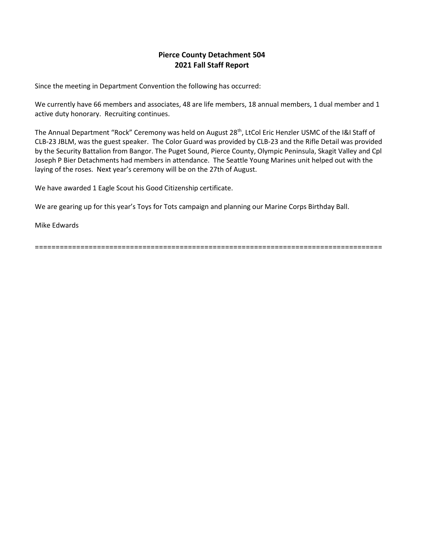### **Pierce County Detachment 504 2021 Fall Staff Report**

Since the meeting in Department Convention the following has occurred:

We currently have 66 members and associates, 48 are life members, 18 annual members, 1 dual member and 1 active duty honorary. Recruiting continues.

The Annual Department "Rock" Ceremony was held on August 28<sup>th</sup>, LtCol Eric Henzler USMC of the I&I Staff of CLB-23 JBLM, was the guest speaker. The Color Guard was provided by CLB-23 and the Rifle Detail was provided by the Security Battalion from Bangor. The Puget Sound, Pierce County, Olympic Peninsula, Skagit Valley and Cpl Joseph P Bier Detachments had members in attendance. The Seattle Young Marines unit helped out with the laying of the roses. Next year's ceremony will be on the 27th of August.

We have awarded 1 Eagle Scout his Good Citizenship certificate.

We are gearing up for this year's Toys for Tots campaign and planning our Marine Corps Birthday Ball.

Mike Edwards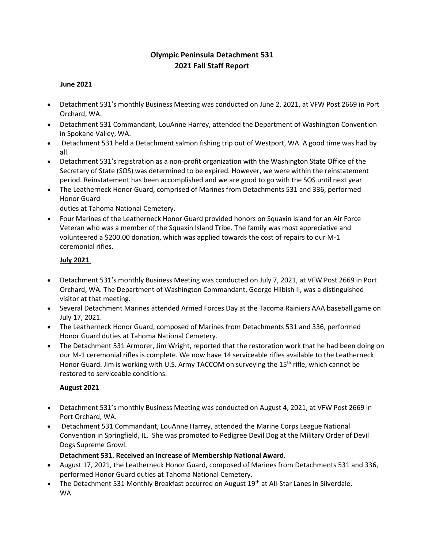# **Olympic Peninsula Detachment 531 2021 Fall Staff Report**

### **June 2021**

- Detachment 531's monthly Business Meeting was conducted on June 2, 2021, at VFW Post 2669 in Port Orchard, WA.
- Detachment 531 Commandant, LouAnne Harrey, attended the Department of Washington Convention in Spokane Valley, WA.
- Detachment 531 held a Detachment salmon fishing trip out of Westport, WA. A good time was had by all.
- Detachment 531's registration as a non-profit organization with the Washington State Office of the Secretary of State (SOS) was determined to be expired. However, we were within the reinstatement period. Reinstatement has been accomplished and we are good to go with the SOS until next year.
- The Leatherneck Honor Guard, comprised of Marines from Detachments 531 and 336, performed Honor Guard

duties at Tahoma National Cemetery.

• Four Marines of the Leatherneck Honor Guard provided honors on Squaxin Island for an Air Force Veteran who was a member of the Squaxin Island Tribe. The family was most appreciative and volunteered a \$200.00 donation, which was applied towards the cost of repairs to our M-1 ceremonial rifles.

#### **July 2021**

- Detachment 531's monthly Business Meeting was conducted on July 7, 2021, at VFW Post 2669 in Port Orchard, WA. The Department of Washington Commandant, George Hilbish II, was a distinguished visitor at that meeting.
- Several Detachment Marines attended Armed Forces Day at the Tacoma Rainiers AAA baseball game on July 17, 2021.
- The Leatherneck Honor Guard, composed of Marines from Detachments 531 and 336, performed Honor Guard duties at Tahoma National Cemetery.
- The Detachment 531 Armorer, Jim Wright, reported that the restoration work that he had been doing on our M-1 ceremonial rifles is complete. We now have 14 serviceable rifles available to the Leatherneck Honor Guard. Jim is working with U.S. Army TACCOM on surveying the 15<sup>th</sup> rifle, which cannot be restored to serviceable conditions.

### **August 2021**

- Detachment 531's monthly Business Meeting was conducted on August 4, 2021, at VFW Post 2669 in Port Orchard, WA.
- Detachment 531 Commandant, LouAnne Harrey, attended the Marine Corps League National Convention in Springfield, IL. She was promoted to Pedigree Devil Dog at the Military Order of Devil Dogs Supreme Growl.

**Detachment 531. Received an increase of Membership National Award.**

- August 17, 2021, the Leatherneck Honor Guard, composed of Marines from Detachments 531 and 336, performed Honor Guard duties at Tahoma National Cemetery.
- The Detachment 531 Monthly Breakfast occurred on August 19<sup>th</sup> at All-Star Lanes in Silverdale, WA.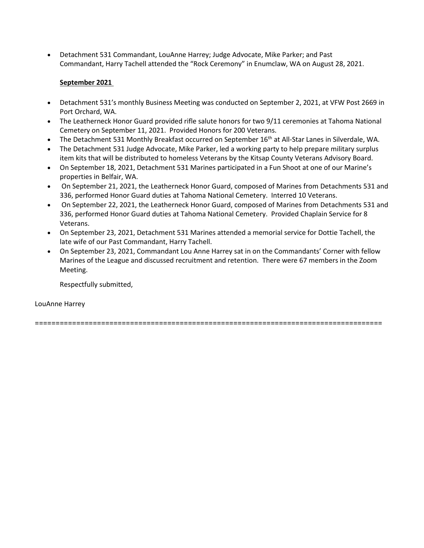• Detachment 531 Commandant, LouAnne Harrey; Judge Advocate, Mike Parker; and Past Commandant, Harry Tachell attended the "Rock Ceremony" in Enumclaw, WA on August 28, 2021.

#### **September 2021**

- Detachment 531's monthly Business Meeting was conducted on September 2, 2021, at VFW Post 2669 in Port Orchard, WA.
- The Leatherneck Honor Guard provided rifle salute honors for two 9/11 ceremonies at Tahoma National Cemetery on September 11, 2021. Provided Honors for 200 Veterans.
- The Detachment 531 Monthly Breakfast occurred on September 16<sup>th</sup> at All-Star Lanes in Silverdale, WA.
- The Detachment 531 Judge Advocate, Mike Parker, led a working party to help prepare military surplus item kits that will be distributed to homeless Veterans by the Kitsap County Veterans Advisory Board.
- On September 18, 2021, Detachment 531 Marines participated in a Fun Shoot at one of our Marine's properties in Belfair, WA.
- On September 21, 2021, the Leatherneck Honor Guard, composed of Marines from Detachments 531 and 336, performed Honor Guard duties at Tahoma National Cemetery. Interred 10 Veterans.
- On September 22, 2021, the Leatherneck Honor Guard, composed of Marines from Detachments 531 and 336, performed Honor Guard duties at Tahoma National Cemetery. Provided Chaplain Service for 8 Veterans.
- On September 23, 2021, Detachment 531 Marines attended a memorial service for Dottie Tachell, the late wife of our Past Commandant, Harry Tachell.
- On September 23, 2021, Commandant Lou Anne Harrey sat in on the Commandants' Corner with fellow Marines of the League and discussed recruitment and retention. There were 67 members in the Zoom Meeting.

Respectfully submitted,

LouAnne Harrey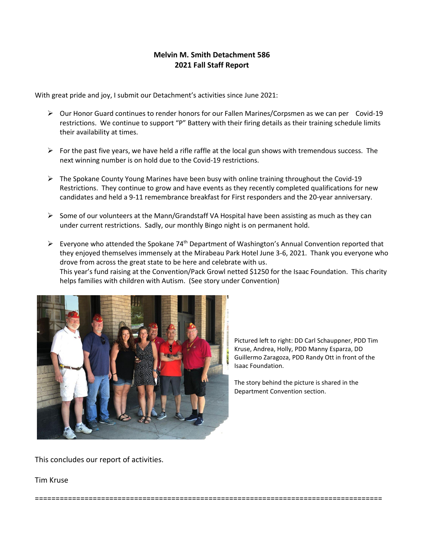## **Melvin M. Smith Detachment 586 2021 Fall Staff Report**

With great pride and joy, I submit our Detachment's activities since June 2021:

- ➢ Our Honor Guard continues to render honors for our Fallen Marines/Corpsmen as we can per Covid-19 restrictions. We continue to support "P" Battery with their firing details as their training schedule limits their availability at times.
- $\triangleright$  For the past five years, we have held a rifle raffle at the local gun shows with tremendous success. The next winning number is on hold due to the Covid-19 restrictions.
- ➢ The Spokane County Young Marines have been busy with online training throughout the Covid-19 Restrictions. They continue to grow and have events as they recently completed qualifications for new candidates and held a 9-11 remembrance breakfast for First responders and the 20-year anniversary.
- $\triangleright$  Some of our volunteers at the Mann/Grandstaff VA Hospital have been assisting as much as they can under current restrictions. Sadly, our monthly Bingo night is on permanent hold.
- $\triangleright$  Everyone who attended the Spokane 74<sup>th</sup> Department of Washington's Annual Convention reported that they enjoyed themselves immensely at the Mirabeau Park Hotel June 3-6, 2021. Thank you everyone who drove from across the great state to be here and celebrate with us. This year's fund raising at the Convention/Pack Growl netted \$1250 for the Isaac Foundation. This charity helps families with children with Autism. (See story under Convention)

====================================================================================



Pictured left to right: DD Carl Schauppner, PDD Tim Kruse, Andrea, Holly, PDD Manny Esparza, DD Guillermo Zaragoza, PDD Randy Ott in front of the Isaac Foundation.

The story behind the picture is shared in the Department Convention section.

This concludes our report of activities.

Tim Kruse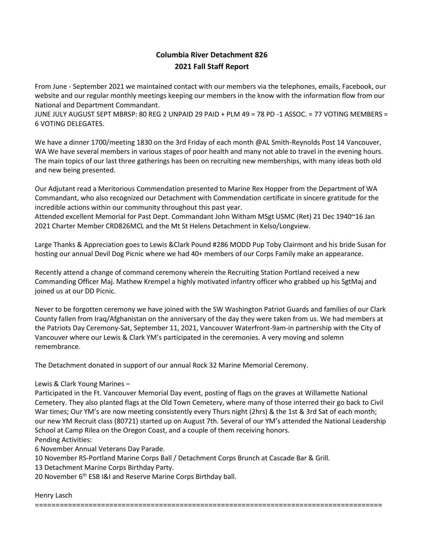# **Columbia River Detachment 826 2021 Fall Staff Report**

From June - September 2021 we maintained contact with our members via the telephones, emails, Facebook, our website and our regular monthly meetings keeping our members in the know with the information flow from our National and Department Commandant.

JUNE JULY AUGUST SEPT MBRSP: 80 REG 2 UNPAID 29 PAID + PLM 49 = 78 PD -1 ASSOC. = 77 VOTING MEMBERS = 6 VOTING DELEGATES.

We have a dinner 1700/meeting 1830 on the 3rd Friday of each month @AL Smith-Reynolds Post 14 Vancouver, WA We have several members in various stages of poor health and many not able to travel in the evening hours. The main topics of our last three gatherings has been on recruiting new memberships, with many ideas both old and new being presented.

Our Adjutant read a Meritorious Commendation presented to Marine Rex Hopper from the Department of WA Commandant, who also recognized our Detachment with Commendation certificate in sincere gratitude for the incredible actions within our community throughout this past year.

Attended excellent Memorial for Past Dept. Commandant John Witham MSgt USMC (Ret) 21 Dec 1940~16 Jan 2021 Charter Member CRD826MCL and the Mt St Helens Detachment in Kelso/Longview.

Large Thanks & Appreciation goes to Lewis &Clark Pound #286 MODD Pup Toby Clairmont and his bride Susan for hosting our annual Devil Dog Picnic where we had 40+ members of our Corps Family make an appearance.

Recently attend a change of command ceremony wherein the Recruiting Station Portland received a new Commanding Officer Maj. Mathew Krempel a highly motivated infantry officer who grabbed up his SgtMaj and joined us at our DD Picnic.

Never to be forgotten ceremony we have joined with the SW Washington Patriot Guards and families of our Clark County fallen from Iraq/Afghanistan on the anniversary of the day they were taken from us. We had members at the Patriots Day Ceremony-Sat, September 11, 2021, Vancouver Waterfront-9am-in partnership with the City of Vancouver where our Lewis & Clark YM's participated in the ceremonies. A very moving and solemn remembrance.

The Detachment donated in support of our annual Rock 32 Marine Memorial Ceremony.

### Lewis & Clark Young Marines –

Participated in the Ft. Vancouver Memorial Day event, posting of flags on the graves at Willamette National Cemetery. They also planted flags at the Old Town Cemetery, where many of those interred their go back to Civil War times; Our YM's are now meeting consistently every Thurs night (2hrs) & the 1st & 3rd Sat of each month; our new YM Recruit class (80721) started up on August 7th. Several of our YM's attended the National Leadership School at Camp Rilea on the Oregon Coast, and a couple of them receiving honors. Pending Activities:

6 November Annual Veterans Day Parade.

10 November RS-Portland Marine Corps Ball / Detachment Corps Brunch at Cascade Bar & Grill.

13 Detachment Marine Corps Birthday Party.

20 November 6<sup>th</sup> ESB I&I and Reserve Marine Corps Birthday ball.

### Henry Lasch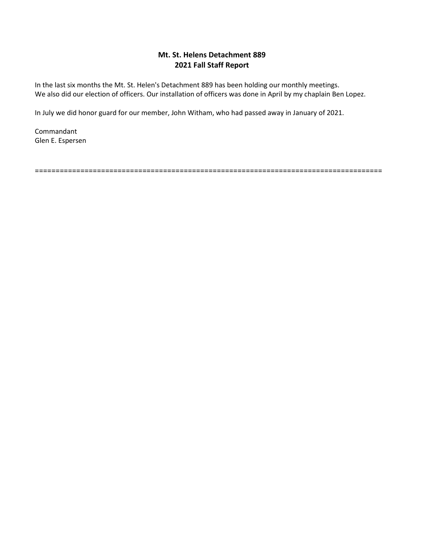### **Mt. St. Helens Detachment 889 2021 Fall Staff Report**

In the last six months the Mt. St. Helen's Detachment 889 has been holding our monthly meetings. We also did our election of officers. Our installation of officers was done in April by my chaplain Ben Lopez.

In July we did honor guard for our member, John Witham, who had passed away in January of 2021.

Commandant Glen E. Espersen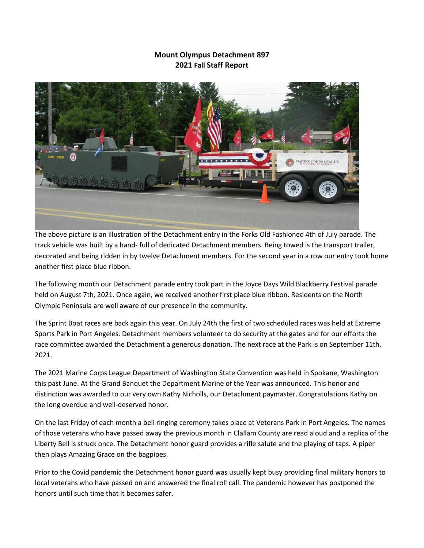## **Mount Olympus Detachment 897 2021 Fall Staff Report**



The above picture is an illustration of the Detachment entry in the Forks Old Fashioned 4th of July parade. The track vehicle was built by a hand- full of dedicated Detachment members. Being towed is the transport trailer, decorated and being ridden in by twelve Detachment members. For the second year in a row our entry took home another first place blue ribbon.

The following month our Detachment parade entry took part in the Joyce Days Wild Blackberry Festival parade held on August 7th, 2021. Once again, we received another first place blue ribbon. Residents on the North Olympic Peninsula are well aware of our presence in the community.

The Sprint Boat races are back again this year. On July 24th the first of two scheduled races was held at Extreme Sports Park in Port Angeles. Detachment members volunteer to do security at the gates and for our efforts the race committee awarded the Detachment a generous donation. The next race at the Park is on September 11th, 2021.

The 2021 Marine Corps League Department of Washington State Convention was held in Spokane, Washington this past June. At the Grand Banquet the Department Marine of the Year was announced. This honor and distinction was awarded to our very own Kathy Nicholls, our Detachment paymaster. Congratulations Kathy on the long overdue and well-deserved honor.

On the last Friday of each month a bell ringing ceremony takes place at Veterans Park in Port Angeles. The names of those veterans who have passed away the previous month in Clallam County are read aloud and a replica of the Liberty Bell is struck once. The Detachment honor guard provides a rifle salute and the playing of taps. A piper then plays Amazing Grace on the bagpipes.

Prior to the Covid pandemic the Detachment honor guard was usually kept busy providing final military honors to local veterans who have passed on and answered the final roll call. The pandemic however has postponed the honors until such time that it becomes safer.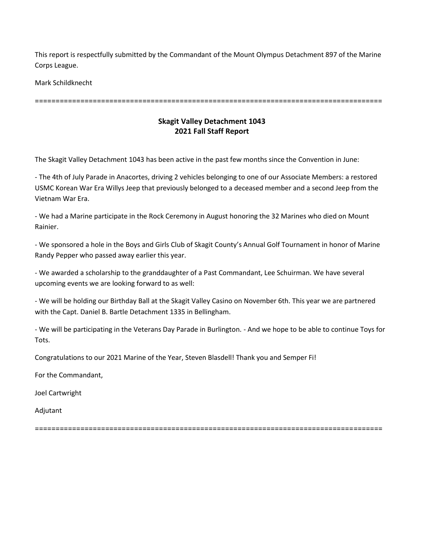This report is respectfully submitted by the Commandant of the Mount Olympus Detachment 897 of the Marine Corps League.

Mark Schildknecht

====================================================================================

## **Skagit Valley Detachment 1043 2021 Fall Staff Report**

The Skagit Valley Detachment 1043 has been active in the past few months since the Convention in June:

- The 4th of July Parade in Anacortes, driving 2 vehicles belonging to one of our Associate Members: a restored USMC Korean War Era Willys Jeep that previously belonged to a deceased member and a second Jeep from the Vietnam War Era.

- We had a Marine participate in the Rock Ceremony in August honoring the 32 Marines who died on Mount Rainier.

- We sponsored a hole in the Boys and Girls Club of Skagit County's Annual Golf Tournament in honor of Marine Randy Pepper who passed away earlier this year.

- We awarded a scholarship to the granddaughter of a Past Commandant, Lee Schuirman. We have several upcoming events we are looking forward to as well:

- We will be holding our Birthday Ball at the Skagit Valley Casino on November 6th. This year we are partnered with the Capt. Daniel B. Bartle Detachment 1335 in Bellingham.

- We will be participating in the Veterans Day Parade in Burlington. - And we hope to be able to continue Toys for Tots.

Congratulations to our 2021 Marine of the Year, Steven Blasdell! Thank you and Semper Fi!

For the Commandant,

Joel Cartwright

Adjutant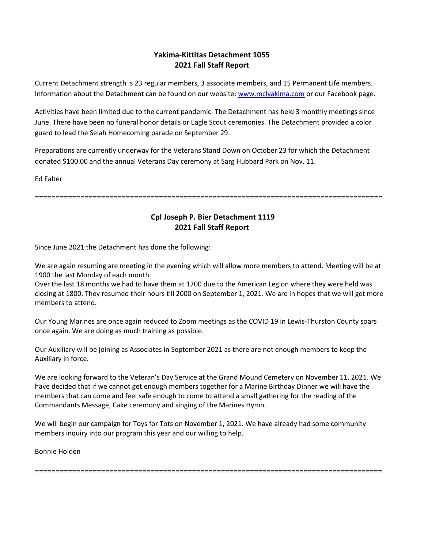### **Yakima-Kittitas Detachment 1055 2021 Fall Staff Report**

Current Detachment strength is 23 regular members, 3 associate members, and 15 Permanent Life members. Information about the Detachment can be found on our website[: www.mclyakima.com](http://www.mclyakima.com/) or our Facebook page.

Activities have been limited due to the current pandemic. The Detachment has held 3 monthly meetings since June. There have been no funeral honor details or Eagle Scout ceremonies. The Detachment provided a color guard to lead the Selah Homecoming parade on September 29.

Preparations are currently underway for the Veterans Stand Down on October 23 for which the Detachment donated \$100.00 and the annual Veterans Day ceremony at Sarg Hubbard Park on Nov. 11.

Ed Falter

====================================================================================

### **Cpl Joseph P. Bier Detachment 1119 2021 Fall Staff Report**

Since June 2021 the Detachment has done the following:

We are again resuming are meeting in the evening which will allow more members to attend. Meeting will be at 1900 the last Monday of each month.

Over the last 18 months we had to have them at 1700 due to the American Legion where they were held was closing at 1800. They resumed their hours till 2000 on September 1, 2021. We are in hopes that we will get more members to attend.

Our Young Marines are once again reduced to Zoom meetings as the COVID 19 in Lewis-Thurston County soars once again. We are doing as much training as possible.

Our Auxiliary will be joining as Associates in September 2021 as there are not enough members to keep the Auxiliary in force.

We are looking forward to the Veteran's Day Service at the Grand Mound Cemetery on November 11, 2021. We have decided that if we cannot get enough members together for a Marine Birthday Dinner we will have the members that can come and feel safe enough to come to attend a small gathering for the reading of the Commandants Message, Cake ceremony and singing of the Marines Hymn.

We will begin our campaign for Toys for Tots on November 1, 2021. We have already had some community members inquiry into our program this year and our willing to help.

Bonnie Holden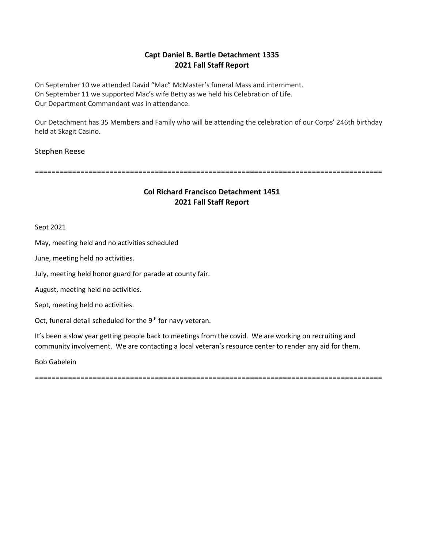## **Capt Daniel B. Bartle Detachment 1335 2021 Fall Staff Report**

On September 10 we attended David "Mac" McMaster's funeral Mass and internment. On September 11 we supported Mac's wife Betty as we held his Celebration of Life. Our Department Commandant was in attendance.

Our Detachment has 35 Members and Family who will be attending the celebration of our Corps' 246th birthday held at Skagit Casino.

#### Stephen Reese

====================================================================================

#### **Col Richard Francisco Detachment 1451 2021 Fall Staff Report**

Sept 2021

May, meeting held and no activities scheduled

June, meeting held no activities.

July, meeting held honor guard for parade at county fair.

August, meeting held no activities.

Sept, meeting held no activities.

Oct, funeral detail scheduled for the 9<sup>th</sup> for navy veteran.

It's been a slow year getting people back to meetings from the covid. We are working on recruiting and community involvement. We are contacting a local veteran's resource center to render any aid for them.

Bob Gabelein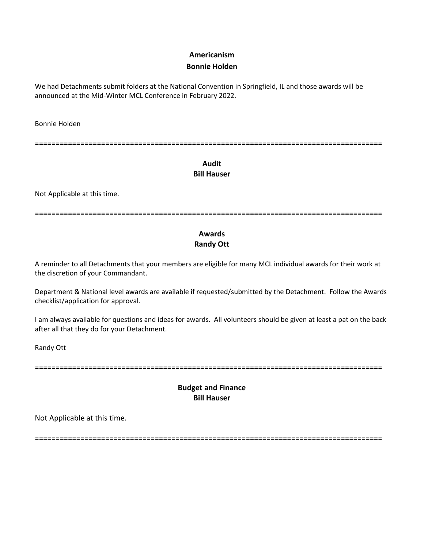### **Americanism**

#### **Bonnie Holden**

We had Detachments submit folders at the National Convention in Springfield, IL and those awards will be announced at the Mid-Winter MCL Conference in February 2022.

Bonnie Holden

====================================================================================

## **Audit Bill Hauser**

Not Applicable at this time.

====================================================================================

# **Awards Randy Ott**

A reminder to all Detachments that your members are eligible for many MCL individual awards for their work at the discretion of your Commandant.

Department & National level awards are available if requested/submitted by the Detachment. Follow the Awards checklist/application for approval.

I am always available for questions and ideas for awards. All volunteers should be given at least a pat on the back after all that they do for your Detachment.

Randy Ott

====================================================================================

## **Budget and Finance Bill Hauser**

Not Applicable at this time.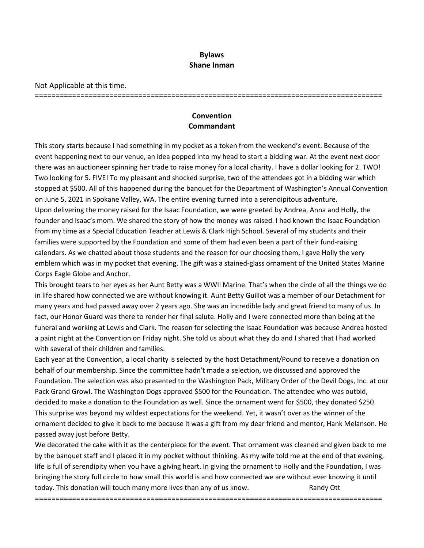#### **Bylaws Shane Inman**

Not Applicable at this time.

====================================================================================

## **Convention Commandant**

This story starts because I had something in my pocket as a token from the weekend's event. Because of the event happening next to our venue, an idea popped into my head to start a bidding war. At the event next door there was an auctioneer spinning her trade to raise money for a local charity. I have a dollar looking for 2. TWO! Two looking for 5. FIVE! To my pleasant and shocked surprise, two of the attendees got in a bidding war which stopped at \$500. All of this happened during the banquet for the Department of Washington's Annual Convention on June 5, 2021 in Spokane Valley, WA. The entire evening turned into a serendipitous adventure. Upon delivering the money raised for the Isaac Foundation, we were greeted by Andrea, Anna and Holly, the founder and Isaac's mom. We shared the story of how the money was raised. I had known the Isaac Foundation from my time as a Special Education Teacher at Lewis & Clark High School. Several of my students and their families were supported by the Foundation and some of them had even been a part of their fund-raising calendars. As we chatted about those students and the reason for our choosing them, I gave Holly the very emblem which was in my pocket that evening. The gift was a stained-glass ornament of the United States Marine Corps Eagle Globe and Anchor.

This brought tears to her eyes as her Aunt Betty was a WWII Marine. That's when the circle of all the things we do in life shared how connected we are without knowing it. Aunt Betty Guillot was a member of our Detachment for many years and had passed away over 2 years ago. She was an incredible lady and great friend to many of us. In fact, our Honor Guard was there to render her final salute. Holly and I were connected more than being at the funeral and working at Lewis and Clark. The reason for selecting the Isaac Foundation was because Andrea hosted a paint night at the Convention on Friday night. She told us about what they do and I shared that I had worked with several of their children and families.

Each year at the Convention, a local charity is selected by the host Detachment/Pound to receive a donation on behalf of our membership. Since the committee hadn't made a selection, we discussed and approved the Foundation. The selection was also presented to the Washington Pack, Military Order of the Devil Dogs, Inc. at our Pack Grand Growl. The Washington Dogs approved \$500 for the Foundation. The attendee who was outbid, decided to make a donation to the Foundation as well. Since the ornament went for \$500, they donated \$250. This surprise was beyond my wildest expectations for the weekend. Yet, it wasn't over as the winner of the ornament decided to give it back to me because it was a gift from my dear friend and mentor, Hank Melanson. He passed away just before Betty.

We decorated the cake with it as the centerpiece for the event. That ornament was cleaned and given back to me by the banquet staff and I placed it in my pocket without thinking. As my wife told me at the end of that evening, life is full of serendipity when you have a giving heart. In giving the ornament to Holly and the Foundation, I was bringing the story full circle to how small this world is and how connected we are without ever knowing it until today. This donation will touch many more lives than any of us know. Randy Ott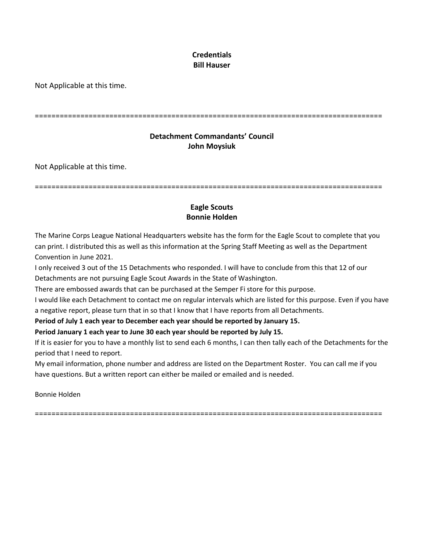## **Credentials Bill Hauser**

Not Applicable at this time.

====================================================================================

## **Detachment Commandants' Council John Moysiuk**

Not Applicable at this time.

====================================================================================

## **Eagle Scouts Bonnie Holden**

The Marine Corps League National Headquarters website has the form for the Eagle Scout to complete that you can print. I distributed this as well as this information at the Spring Staff Meeting as well as the Department Convention in June 2021.

I only received 3 out of the 15 Detachments who responded. I will have to conclude from this that 12 of our Detachments are not pursuing Eagle Scout Awards in the State of Washington.

There are embossed awards that can be purchased at the Semper Fi store for this purpose.

I would like each Detachment to contact me on regular intervals which are listed for this purpose. Even if you have a negative report, please turn that in so that I know that I have reports from all Detachments.

### **Period of July 1 each year to December each year should be reported by January 15.**

### **Period January 1 each year to June 30 each year should be reported by July 15.**

If it is easier for you to have a monthly list to send each 6 months, I can then tally each of the Detachments for the period that I need to report.

My email information, phone number and address are listed on the Department Roster. You can call me if you have questions. But a written report can either be mailed or emailed and is needed.

Bonnie Holden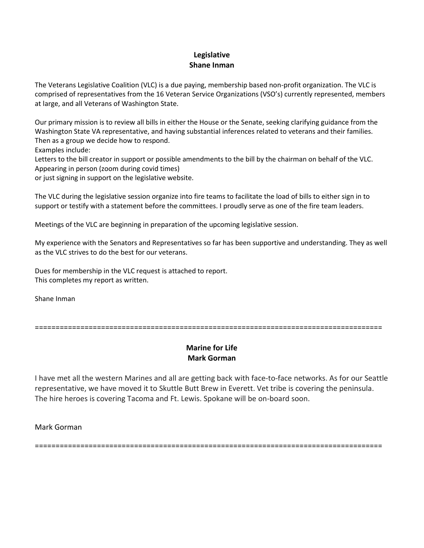### **Legislative Shane Inman**

The Veterans Legislative Coalition (VLC) is a due paying, membership based non-profit organization. The VLC is comprised of representatives from the 16 Veteran Service Organizations (VSO's) currently represented, members at large, and all Veterans of Washington State.

Our primary mission is to review all bills in either the House or the Senate, seeking clarifying guidance from the Washington State VA representative, and having substantial inferences related to veterans and their families. Then as a group we decide how to respond.

Examples include:

Letters to the bill creator in support or possible amendments to the bill by the chairman on behalf of the VLC. Appearing in person (zoom during covid times)

or just signing in support on the legislative website.

The VLC during the legislative session organize into fire teams to facilitate the load of bills to either sign in to support or testify with a statement before the committees. I proudly serve as one of the fire team leaders.

Meetings of the VLC are beginning in preparation of the upcoming legislative session.

My experience with the Senators and Representatives so far has been supportive and understanding. They as well as the VLC strives to do the best for our veterans.

Dues for membership in the VLC request is attached to report. This completes my report as written.

Shane Inman

====================================================================================

## **Marine for Life Mark Gorman**

I have met all the western Marines and all are getting back with face-to-face networks. As for our Seattle representative, we have moved it to Skuttle Butt Brew in Everett. Vet tribe is covering the peninsula. The hire heroes is covering Tacoma and Ft. Lewis. Spokane will be on-board soon.

Mark Gorman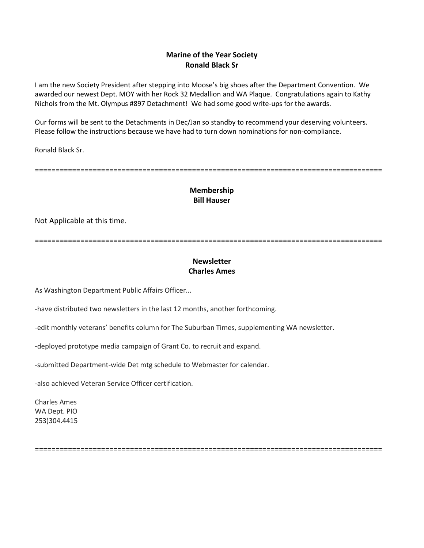### **Marine of the Year Society Ronald Black Sr**

I am the new Society President after stepping into Moose's big shoes after the Department Convention. We awarded our newest Dept. MOY with her Rock 32 Medallion and WA Plaque. Congratulations again to Kathy Nichols from the Mt. Olympus #897 Detachment! We had some good write-ups for the awards.

Our forms will be sent to the Detachments in Dec/Jan so standby to recommend your deserving volunteers. Please follow the instructions because we have had to turn down nominations for non-compliance.

Ronald Black Sr.

====================================================================================

## **Membership Bill Hauser**

Not Applicable at this time.

====================================================================================

# **Newsletter Charles Ames**

As Washington Department Public Affairs Officer...

-have distributed two newsletters in the last 12 months, another forthcoming.

-edit monthly veterans' benefits column for The Suburban Times, supplementing WA newsletter.

-deployed prototype media campaign of Grant Co. to recruit and expand.

-submitted Department-wide Det mtg schedule to Webmaster for calendar.

-also achieved Veteran Service Officer certification.

Charles Ames WA Dept. PIO 253)304.4415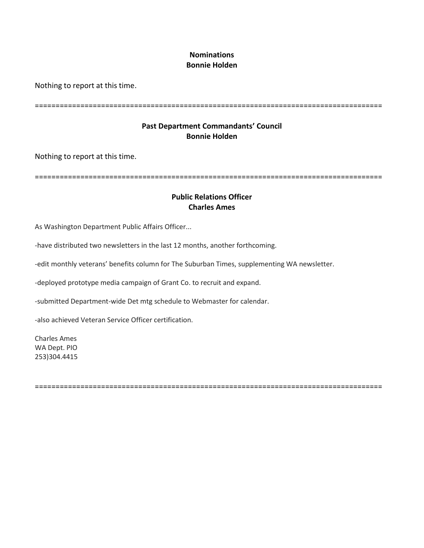### **Nominations Bonnie Holden**

Nothing to report at this time.

====================================================================================

## **Past Department Commandants' Council Bonnie Holden**

Nothing to report at this time.

====================================================================================

### **Public Relations Officer Charles Ames**

As Washington Department Public Affairs Officer...

-have distributed two newsletters in the last 12 months, another forthcoming.

-edit monthly veterans' benefits column for The Suburban Times, supplementing WA newsletter.

-deployed prototype media campaign of Grant Co. to recruit and expand.

-submitted Department-wide Det mtg schedule to Webmaster for calendar.

-also achieved Veteran Service Officer certification.

Charles Ames WA Dept. PIO 253)304.4415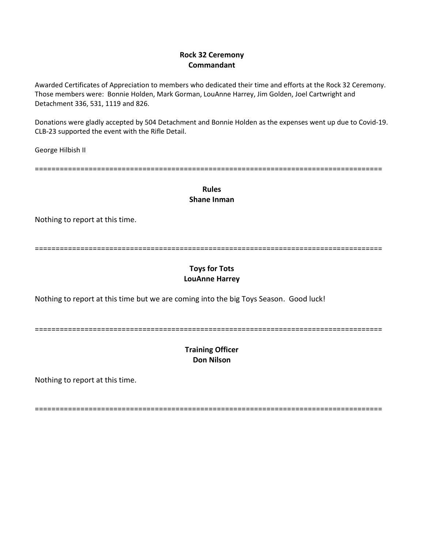### **Rock 32 Ceremony Commandant**

Awarded Certificates of Appreciation to members who dedicated their time and efforts at the Rock 32 Ceremony. Those members were: Bonnie Holden, Mark Gorman, LouAnne Harrey, Jim Golden, Joel Cartwright and Detachment 336, 531, 1119 and 826.

Donations were gladly accepted by 504 Detachment and Bonnie Holden as the expenses went up due to Covid-19. CLB-23 supported the event with the Rifle Detail.

George Hilbish II

====================================================================================

**Rules Shane Inman** 

Nothing to report at this time.

====================================================================================

## **Toys for Tots LouAnne Harrey**

Nothing to report at this time but we are coming into the big Toys Season. Good luck!

====================================================================================

# **Training Officer Don Nilson**

Nothing to report at this time.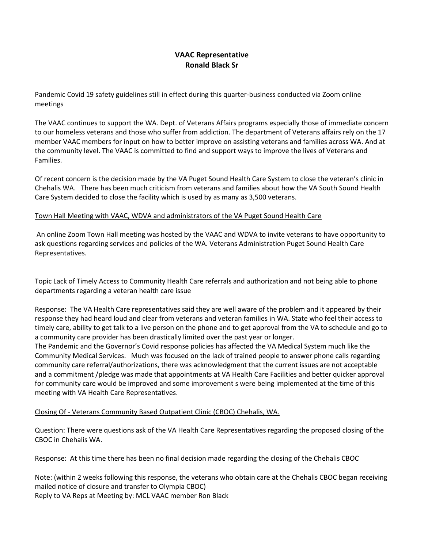## **VAAC Representative Ronald Black Sr**

Pandemic Covid 19 safety guidelines still in effect during this quarter-business conducted via Zoom online meetings

The VAAC continues to support the WA. Dept. of Veterans Affairs programs especially those of immediate concern to our homeless veterans and those who suffer from addiction. The department of Veterans affairs rely on the 17 member VAAC members for input on how to better improve on assisting veterans and families across WA. And at the community level. The VAAC is committed to find and support ways to improve the lives of Veterans and Families.

Of recent concern is the decision made by the VA Puget Sound Health Care System to close the veteran's clinic in Chehalis WA. There has been much criticism from veterans and families about how the VA South Sound Health Care System decided to close the facility which is used by as many as 3,500 veterans.

#### Town Hall Meeting with VAAC, WDVA and administrators of the VA Puget Sound Health Care

An online Zoom Town Hall meeting was hosted by the VAAC and WDVA to invite veterans to have opportunity to ask questions regarding services and policies of the WA. Veterans Administration Puget Sound Health Care Representatives.

Topic Lack of Timely Access to Community Health Care referrals and authorization and not being able to phone departments regarding a veteran health care issue

Response: The VA Health Care representatives said they are well aware of the problem and it appeared by their response they had heard loud and clear from veterans and veteran families in WA. State who feel their access to timely care, ability to get talk to a live person on the phone and to get approval from the VA to schedule and go to a community care provider has been drastically limited over the past year or longer.

The Pandemic and the Governor's Covid response policies has affected the VA Medical System much like the Community Medical Services. Much was focused on the lack of trained people to answer phone calls regarding community care referral/authorizations, there was acknowledgment that the current issues are not acceptable and a commitment /pledge was made that appointments at VA Health Care Facilities and better quicker approval for community care would be improved and some improvement s were being implemented at the time of this meeting with VA Health Care Representatives.

#### Closing Of - Veterans Community Based Outpatient Clinic (CBOC) Chehalis, WA.

Question: There were questions ask of the VA Health Care Representatives regarding the proposed closing of the CBOC in Chehalis WA.

Response: At this time there has been no final decision made regarding the closing of the Chehalis CBOC

Note: (within 2 weeks following this response, the veterans who obtain care at the Chehalis CBOC began receiving mailed notice of closure and transfer to Olympia CBOC) Reply to VA Reps at Meeting by: MCL VAAC member Ron Black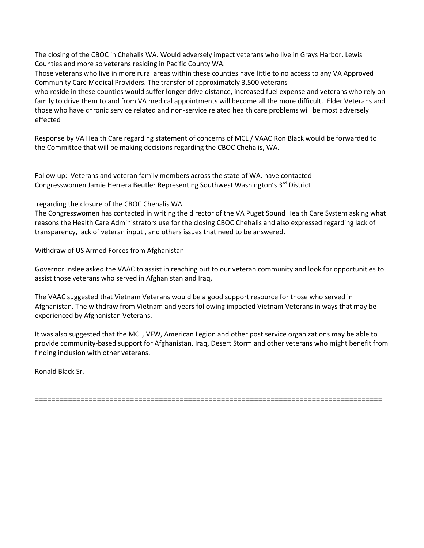The closing of the CBOC in Chehalis WA. Would adversely impact veterans who live in Grays Harbor, Lewis Counties and more so veterans residing in Pacific County WA.

Those veterans who live in more rural areas within these counties have little to no access to any VA Approved Community Care Medical Providers. The transfer of approximately 3,500 veterans

who reside in these counties would suffer longer drive distance, increased fuel expense and veterans who rely on family to drive them to and from VA medical appointments will become all the more difficult. Elder Veterans and those who have chronic service related and non-service related health care problems will be most adversely effected

Response by VA Health Care regarding statement of concerns of MCL / VAAC Ron Black would be forwarded to the Committee that will be making decisions regarding the CBOC Chehalis, WA.

Follow up: Veterans and veteran family members across the state of WA. have contacted Congresswomen Jamie Herrera Beutler Representing Southwest Washington's 3rd District

#### regarding the closure of the CBOC Chehalis WA.

The Congresswomen has contacted in writing the director of the VA Puget Sound Health Care System asking what reasons the Health Care Administrators use for the closing CBOC Chehalis and also expressed regarding lack of transparency, lack of veteran input , and others issues that need to be answered.

#### Withdraw of US Armed Forces from Afghanistan

Governor Inslee asked the VAAC to assist in reaching out to our veteran community and look for opportunities to assist those veterans who served in Afghanistan and Iraq,

The VAAC suggested that Vietnam Veterans would be a good support resource for those who served in Afghanistan. The withdraw from Vietnam and years following impacted Vietnam Veterans in ways that may be experienced by Afghanistan Veterans.

It was also suggested that the MCL, VFW, American Legion and other post service organizations may be able to provide community-based support for Afghanistan, Iraq, Desert Storm and other veterans who might benefit from finding inclusion with other veterans.

Ronald Black Sr.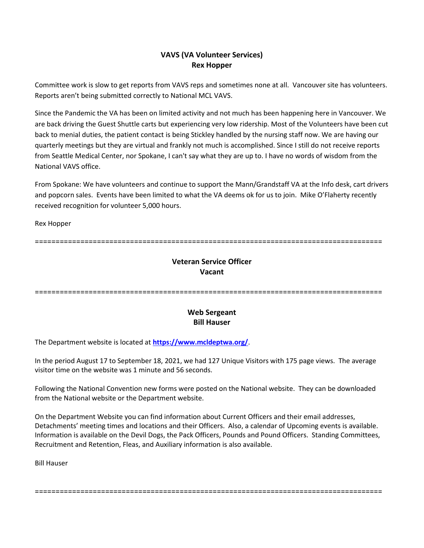## **VAVS (VA Volunteer Services) Rex Hopper**

Committee work is slow to get reports from VAVS reps and sometimes none at all. Vancouver site has volunteers. Reports aren't being submitted correctly to National MCL VAVS.

Since the Pandemic the VA has been on limited activity and not much has been happening here in Vancouver. We are back driving the Guest Shuttle carts but experiencing very low ridership. Most of the Volunteers have been cut back to menial duties, the patient contact is being Stickley handled by the nursing staff now. We are having our quarterly meetings but they are virtual and frankly not much is accomplished. Since I still do not receive reports from Seattle Medical Center, nor Spokane, I can't say what they are up to. I have no words of wisdom from the National VAVS office.

From Spokane: We have volunteers and continue to support the Mann/Grandstaff VA at the Info desk, cart drivers and popcorn sales. Events have been limited to what the VA deems ok for us to join. Mike O'Flaherty recently received recognition for volunteer 5,000 hours.

Rex Hopper

====================================================================================

# **Veteran Service Officer Vacant**

====================================================================================

### **Web Sergeant Bill Hauser**

The Department website is located at **<https://www.mcldeptwa.org/>**.

In the period August 17 to September 18, 2021, we had 127 Unique Visitors with 175 page views. The average visitor time on the website was 1 minute and 56 seconds.

Following the National Convention new forms were posted on the National website. They can be downloaded from the National website or the Department website.

On the Department Website you can find information about Current Officers and their email addresses, Detachments' meeting times and locations and their Officers. Also, a calendar of Upcoming events is available. Information is available on the Devil Dogs, the Pack Officers, Pounds and Pound Officers. Standing Committees, Recruitment and Retention, Fleas, and Auxiliary information is also available.

====================================================================================

Bill Hauser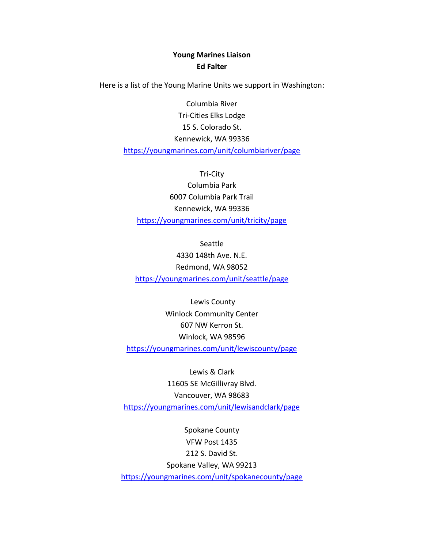## **Young Marines Liaison Ed Falter**

Here is a list of the Young Marine Units we support in Washington:

Columbia River Tri-Cities Elks Lodge 15 S. Colorado St. Kennewick, WA 99336 <https://youngmarines.com/unit/columbiariver/page>

Tri-City Columbia Park 6007 Columbia Park Trail Kennewick, WA 99336 <https://youngmarines.com/unit/tricity/page>

Seattle 4330 148th Ave. N.E. Redmond, WA 98052 <https://youngmarines.com/unit/seattle/page>

Lewis County Winlock Community Center 607 NW Kerron St. Winlock, WA 98596 <https://youngmarines.com/unit/lewiscounty/page>

Lewis & Clark 11605 SE McGillivray Blvd. Vancouver, WA 98683 <https://youngmarines.com/unit/lewisandclark/page>

Spokane County VFW Post 1435 212 S. David St. Spokane Valley, WA 99213 <https://youngmarines.com/unit/spokanecounty/page>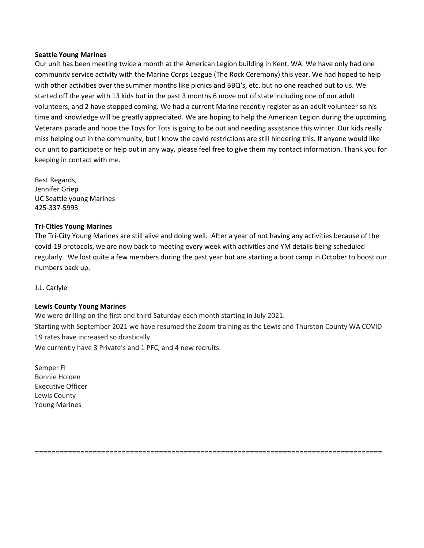#### **Seattle Young Marines**

Our unit has been meeting twice a month at the American Legion building in Kent, WA. We have only had one community service activity with the Marine Corps League (The Rock Ceremony) this year. We had hoped to help with other activities over the summer months like picnics and BBQ's, etc. but no one reached out to us. We started off the year with 13 kids but in the past 3 months 6 move out of state including one of our adult volunteers, and 2 have stopped coming. We had a current Marine recently register as an adult volunteer so his time and knowledge will be greatly appreciated. We are hoping to help the American Legion during the upcoming Veterans parade and hope the Toys for Tots is going to be out and needing assistance this winter. Our kids really miss helping out in the community, but I know the covid restrictions are still hindering this. If anyone would like our unit to participate or help out in any way, please feel free to give them my contact information. Thank you for keeping in contact with me.

Best Regards, Jennifer Griep UC Seattle young Marines 425-337-5993

#### **Tri-Cities Young Marines**

The Tri-City Young Marines are still alive and doing well. After a year of not having any activities because of the covid-19 protocols, we are now back to meeting every week with activities and YM details being scheduled regularly. We lost quite a few members during the past year but are starting a boot camp in October to boost our numbers back up.

J.L. Carlyle

#### **Lewis County Young Marines**

We were drilling on the first and third Saturday each month starting in July 2021. Starting with September 2021 we have resumed the Zoom training as the Lewis and Thurston County WA COVID 19 rates have increased so drastically. We currently have 3 Private's and 1 PFC, and 4 new recruits.

Semper FI Bonnie Holden Executive Officer Lewis County Young Marines